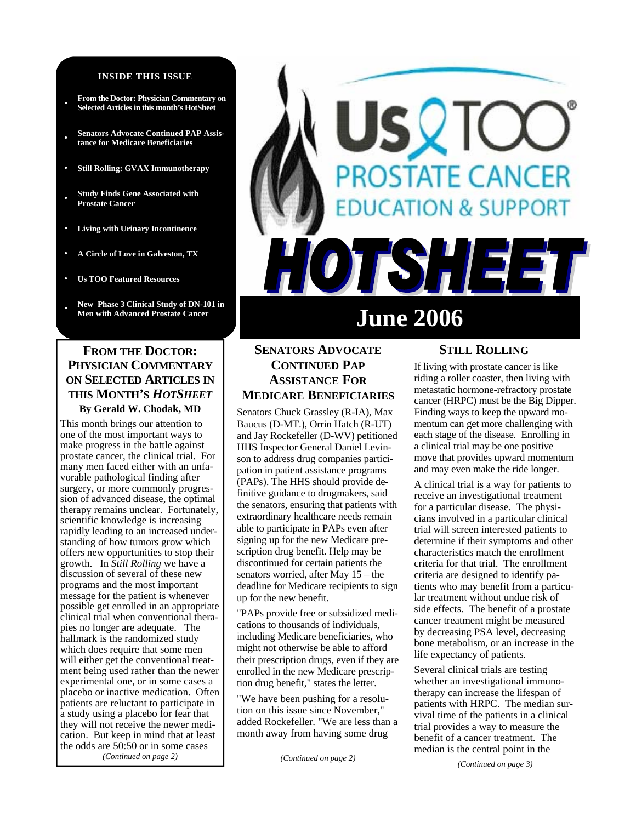#### **INSIDE THIS ISSUE**

- **From the Doctor: Physician Commentary on Selected Articles in this month's HotSheet**
- **• Senators Advocate Continued PAP Assistance for Medicare Beneficiaries**
- **• Still Rolling: GVAX Immunotherapy**
- **• Study Finds Gene Associated with Prostate Cancer**
- **• Living with Urinary Incontinence**
- **• A Circle of Love in Galveston, TX**

**• Us TOO Featured Resources** 

**• New Phase 3 Clinical Study of DN-101 in** 

# **FROM THE DOCTOR: PHYSICIAN COMMENTARY ON SELECTED ARTICLES IN THIS MONTH'S** *HOTSHEET* **By Gerald W. Chodak, MD**

This month brings our attention to one of the most important ways to make progress in the battle against prostate cancer, the clinical trial. For many men faced either with an unfavorable pathological finding after surgery, or more commonly progression of advanced disease, the optimal therapy remains unclear. Fortunately, scientific knowledge is increasing rapidly leading to an increased understanding of how tumors grow which offers new opportunities to stop their growth. In *Still Rolling* we have a discussion of several of these new programs and the most important message for the patient is whenever possible get enrolled in an appropriate clinical trial when conventional therapies no longer are adequate. The hallmark is the randomized study which does require that some men will either get the conventional treatment being used rather than the newer experimental one, or in some cases a placebo or inactive medication. Often patients are reluctant to participate in a study using a placebo for fear that they will not receive the newer medication. But keep in mind that at least the odds are 50:50 or in some cases *(Continued on page 2)* 

# **DSTATE CANCER DN & SUPPORT** FSH E 0 **June 2006**

# **SENATORS ADVOCATE CONTINUED PAP ASSISTANCE FOR MEDICARE BENEFICIARIES**

Senators Chuck Grassley (R-IA), Max Baucus (D-MT.), Orrin Hatch (R-UT) and Jay Rockefeller (D-WV) petitioned HHS Inspector General Daniel Levinson to address drug companies participation in patient assistance programs (PAPs). The HHS should provide definitive guidance to drugmakers, said the senators, ensuring that patients with extraordinary healthcare needs remain able to participate in PAPs even after signing up for the new Medicare prescription drug benefit. Help may be discontinued for certain patients the senators worried, after May 15 – the deadline for Medicare recipients to sign up for the new benefit.

"PAPs provide free or subsidized medications to thousands of individuals, including Medicare beneficiaries, who might not otherwise be able to afford their prescription drugs, even if they are enrolled in the new Medicare prescription drug benefit," states the letter.

"We have been pushing for a resolution on this issue since November," added Rockefeller. "We are less than a month away from having some drug

*(Continued on page 2)* 

### **STILL ROLLING**

If living with prostate cancer is like riding a roller coaster, then living with metastatic hormone-refractory prostate cancer (HRPC) must be the Big Dipper. Finding ways to keep the upward momentum can get more challenging with each stage of the disease. Enrolling in a clinical trial may be one positive move that provides upward momentum and may even make the ride longer.

A clinical trial is a way for patients to receive an investigational treatment for a particular disease. The physicians involved in a particular clinical trial will screen interested patients to determine if their symptoms and other characteristics match the enrollment criteria for that trial. The enrollment criteria are designed to identify patients who may benefit from a particular treatment without undue risk of side effects. The benefit of a prostate cancer treatment might be measured by decreasing PSA level, decreasing bone metabolism, or an increase in the life expectancy of patients.

Several clinical trials are testing whether an investigational immunotherapy can increase the lifespan of patients with HRPC. The median survival time of the patients in a clinical trial provides a way to measure the benefit of a cancer treatment. The median is the central point in the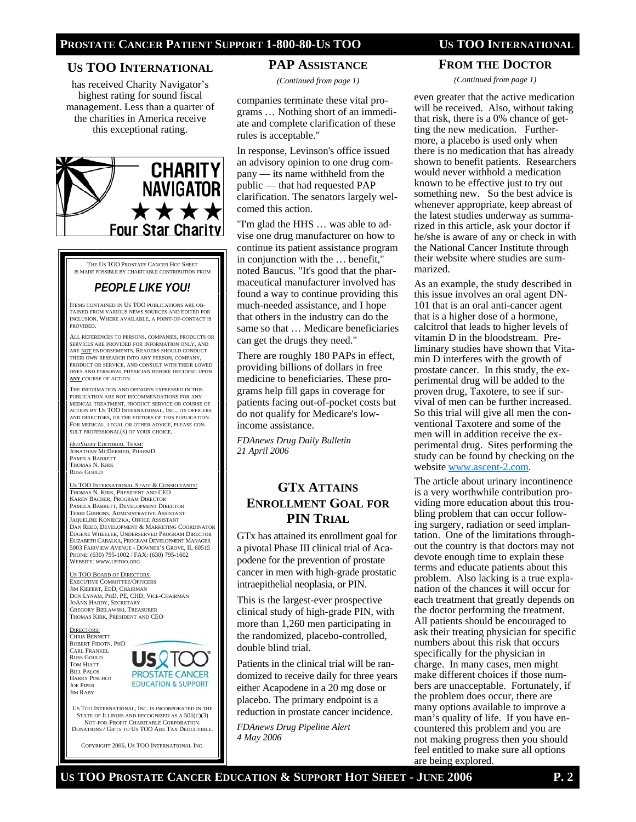## **US TOO INTERNATIONAL**

has received Charity Navigator's highest rating for sound fiscal management. Less than a quarter of the charities in America receive this exceptional rating.



THE US TOO PROSTATE CANCER HOT SHEET IS MADE POSSIBLE BY CHARITABLE CONTRIBUTION FROM

# *PEOPLE LIKE YOU!*

ITEMS CONTAINED IN US TOO PUBLICATIONS ARE OB-TAINED FROM VARIOUS NEWS SOURCES AND EDITED FOR INCLUSION. WHERE AVAILABLE, A POINT-OF-CONTACT IS PROVIDED.

ALL REFERENCES TO PERSONS, COMPANIES, PRODUCTS OR SERVICES ARE PROVIDED FOR INFORMATION ONLY, AND ARE NOT ENDORSEMENTS. READERS SHOULD CONDUCT THEIR OWN RESEARCH INTO ANY PERSON, COMPANY PRODUCT OR SERVICE, AND CONSULT WITH THEIR LOWED ONES AND PERSONAL PHYSICIAN BEFORE DECIDING UPON **ANY** COURSE OF ACTION.

THE INFORMATION AND OPINIONS EXPRESSED IN THIS PUBLICATION ARE NOT RECOMMENDATIONS FOR ANY MEDICAL TREATMENT, PRODUCT SERVICE OR COURSE OF ACTION BY US TOO INTERNATIONAL, INC., ITS OFFICERS AND DIRECTORS, OR THE EDITORS OF THIS PUBLICATION. FOR MEDICAL, LEGAL OR OTHER ADVICE, PLEASE CON-SULT PROFESSIONAL(S) OF YOUR CHOICE.

#### *HOTSHEET* EDITORIAL TEAM: JONATHAN MCDERMED, PHARMD PAMELA BARRETT THOMAS N. KIRK RUSS GOULD

US TOO INTERNATIONAL STAFF & CONSULTANTS: THOMAS N. KIRK, PRESIDENT AND CEO KAREN BACHER, PROGRAM DIRECTOR PAMELA BARRETT, DEVELOPMENT DIRECTOR TERRI GIBBONS, ADMINISTRATIVE ASSISTANT JAQUELINE KONIECZKA, OFFICE ASSISTANT DAN REED, DEVELOPMENT & MARKETING COORDINATOR EUGENE WHEELER, UNDERSERVED PROGRAM DIRECTOR ELIZABETH CABALKA, PROGRAM DEVELOPMENT MANAGER 5003 FAIRVIEW AVENUE - DOWNER'S GROVE, IL 60515 PHONE: (630) 795-1002 / FAX: (630) 795-1602 WEBSITE: WWW.USTOO.ORG

US TOO BOARD OF DIRECTORS EXECUTIVE COMMITTEE/OFFICERS JIM KIEFERT, EDD, CHAIRMAN DON LYNAM, PHD, PE, CHD, VICE-CHAIRMAN JOANN HARDY, SECRETARY GREGORY BIELAWSKI, TREASURER THOMAS KIRK, PRESIDENT AND CEO

RECTORS: CHRIS BENNETT ROBERT FIDOTN, PHD CARL FRANKEL RUSS GOULD TOM HIATT BILL PALOS HARRY PINCHOT JOE PIPER JIM RABY



US TOO INTERNATIONAL, INC. IS INCORPORATED IN THE STATE OF ILLINOIS AND RECOGNIZED AS A  $501(C)(3)$ NOT-FOR-PROFIT CHARITABLE CORPORATION. DONATIONS / GIFTS TO US TOO ARE TAX DEDUCTIBLE.

COPYRIGHT 2006, US TOO INTERNATIONAL INC.

#### **PAP ASSISTANCE**

*(Continued from page 1)* 

companies terminate these vital programs … Nothing short of an immediate and complete clarification of these rules is acceptable."

In response, Levinson's office issued an advisory opinion to one drug company — its name withheld from the public — that had requested PAP clarification. The senators largely welcomed this action.

"I'm glad the HHS … was able to advise one drug manufacturer on how to continue its patient assistance program in conjunction with the … benefit," noted Baucus. "It's good that the pharmaceutical manufacturer involved has found a way to continue providing this much-needed assistance, and I hope that others in the industry can do the same so that … Medicare beneficiaries can get the drugs they need."

There are roughly 180 PAPs in effect, providing billions of dollars in free medicine to beneficiaries. These programs help fill gaps in coverage for patients facing out-of-pocket costs but do not qualify for Medicare's lowincome assistance.

*FDAnews Drug Daily Bulletin 21 April 2006* 

# **GTX ATTAINS ENROLLMENT GOAL FOR PIN TRIAL**

GTx has attained its enrollment goal for a pivotal Phase III clinical trial of Acapodene for the prevention of prostate cancer in men with high-grade prostatic intraepithelial neoplasia, or PIN.

This is the largest-ever prospective clinical study of high-grade PIN, with more than 1,260 men participating in the randomized, placebo-controlled, double blind trial.

Patients in the clinical trial will be randomized to receive daily for three years either Acapodene in a 20 mg dose or placebo. The primary endpoint is a reduction in prostate cancer incidence.

*FDAnews Drug Pipeline Alert 4 May 2006* 

**FROM THE DOCTOR**

*(Continued from page 1)* 

even greater that the active medication will be received. Also, without taking that risk, there is a 0% chance of getting the new medication. Furthermore, a placebo is used only when there is no medication that has already shown to benefit patients. Researchers would never withhold a medication known to be effective just to try out something new. So the best advice is whenever appropriate, keep abreast of the latest studies underway as summarized in this article, ask your doctor if he/she is aware of any or check in with the National Cancer Institute through their website where studies are summarized.

As an example, the study described in this issue involves an oral agent DN-101 that is an oral anti-cancer agent that is a higher dose of a hormone, calcitrol that leads to higher levels of vitamin D in the bloodstream. Preliminary studies have shown that Vitamin D interferes with the growth of prostate cancer. In this study, the experimental drug will be added to the proven drug, Taxotere, to see if survival of men can be further increased. So this trial will give all men the conventional Taxotere and some of the men will in addition receive the experimental drug. Sites performing the study can be found by checking on the website www.ascent-2.com.

The article about urinary incontinence is a very worthwhile contribution providing more education about this troubling problem that can occur following surgery, radiation or seed implantation. One of the limitations throughout the country is that doctors may not devote enough time to explain these terms and educate patients about this problem. Also lacking is a true explanation of the chances it will occur for each treatment that greatly depends on the doctor performing the treatment. All patients should be encouraged to ask their treating physician for specific numbers about this risk that occurs specifically for the physician in charge. In many cases, men might make different choices if those numbers are unacceptable. Fortunately, if the problem does occur, there are many options available to improve a man's quality of life. If you have encountered this problem and you are not making progress then you should feel entitled to make sure all options are being explored.

**US TOO PROSTATE CANCER EDUCATION & SUPPORT HOT SHEET - JUNE 2006 P. 2**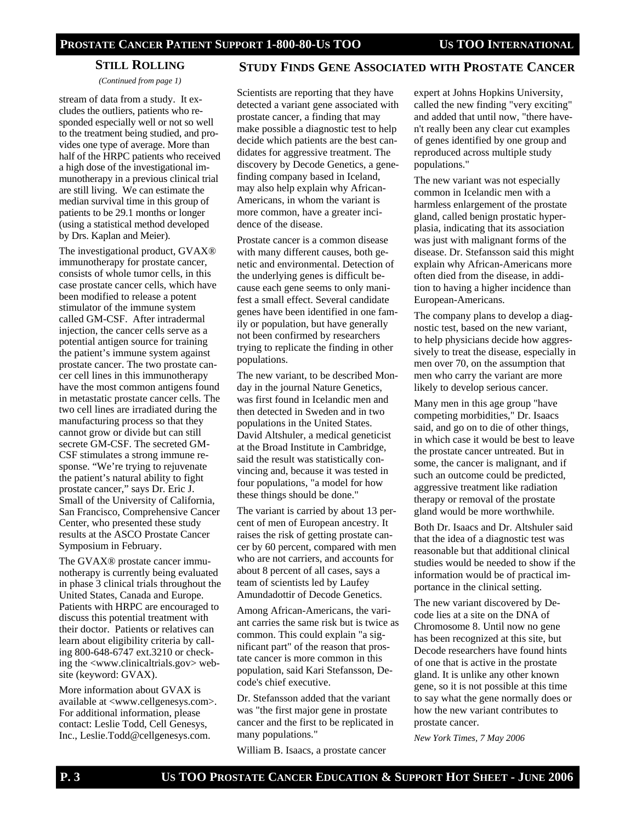## **STILL ROLLING**

*(Continued from page 1)* 

stream of data from a study. It excludes the outliers, patients who responded especially well or not so well to the treatment being studied, and provides one type of average. More than half of the HRPC patients who received a high dose of the investigational immunotherapy in a previous clinical trial are still living. We can estimate the median survival time in this group of patients to be 29.1 months or longer (using a statistical method developed by Drs. Kaplan and Meier).

The investigational product, GVAX® immunotherapy for prostate cancer, consists of whole tumor cells, in this case prostate cancer cells, which have been modified to release a potent stimulator of the immune system called GM-CSF. After intradermal injection, the cancer cells serve as a potential antigen source for training the patient's immune system against prostate cancer. The two prostate cancer cell lines in this immunotherapy have the most common antigens found in metastatic prostate cancer cells. The two cell lines are irradiated during the manufacturing process so that they cannot grow or divide but can still secrete GM-CSF. The secreted GM-CSF stimulates a strong immune response. "We're trying to rejuvenate the patient's natural ability to fight prostate cancer," says Dr. Eric J. Small of the University of California, San Francisco, Comprehensive Cancer Center, who presented these study results at the ASCO Prostate Cancer Symposium in February.

The GVAX® prostate cancer immunotherapy is currently being evaluated in phase 3 clinical trials throughout the United States, Canada and Europe. Patients with HRPC are encouraged to discuss this potential treatment with their doctor. Patients or relatives can learn about eligibility criteria by calling 800-648-6747 ext.3210 or checking the <www.clinicaltrials.gov> website (keyword: GVAX).

More information about GVAX is available at <www.cellgenesys.com>. For additional information, please contact: Leslie Todd, Cell Genesys, Inc., Leslie.Todd@cellgenesys.com.

#### **STUDY FINDS GENE ASSOCIATED WITH PROSTATE CANCER**

Scientists are reporting that they have detected a variant gene associated with prostate cancer, a finding that may make possible a diagnostic test to help decide which patients are the best candidates for aggressive treatment. The discovery by Decode Genetics, a genefinding company based in Iceland, may also help explain why African-Americans, in whom the variant is more common, have a greater incidence of the disease.

Prostate cancer is a common disease with many different causes, both genetic and environmental. Detection of the underlying genes is difficult because each gene seems to only manifest a small effect. Several candidate genes have been identified in one family or population, but have generally not been confirmed by researchers trying to replicate the finding in other populations.

The new variant, to be described Monday in the journal Nature Genetics, was first found in Icelandic men and then detected in Sweden and in two populations in the United States. David Altshuler, a medical geneticist at the Broad Institute in Cambridge, said the result was statistically convincing and, because it was tested in four populations, "a model for how these things should be done."

The variant is carried by about 13 percent of men of European ancestry. It raises the risk of getting prostate cancer by 60 percent, compared with men who are not carriers, and accounts for about 8 percent of all cases, says a team of scientists led by Laufey Amundadottir of Decode Genetics.

Among African-Americans, the variant carries the same risk but is twice as common. This could explain "a significant part" of the reason that prostate cancer is more common in this population, said Kari Stefansson, Decode's chief executive.

Dr. Stefansson added that the variant was "the first major gene in prostate cancer and the first to be replicated in many populations."

William B. Isaacs, a prostate cancer

expert at Johns Hopkins University, called the new finding "very exciting" and added that until now, "there haven't really been any clear cut examples of genes identified by one group and reproduced across multiple study populations."

The new variant was not especially common in Icelandic men with a harmless enlargement of the prostate gland, called benign prostatic hyperplasia, indicating that its association was just with malignant forms of the disease. Dr. Stefansson said this might explain why African-Americans more often died from the disease, in addition to having a higher incidence than European-Americans.

The company plans to develop a diagnostic test, based on the new variant, to help physicians decide how aggressively to treat the disease, especially in men over 70, on the assumption that men who carry the variant are more likely to develop serious cancer.

Many men in this age group "have competing morbidities," Dr. Isaacs said, and go on to die of other things, in which case it would be best to leave the prostate cancer untreated. But in some, the cancer is malignant, and if such an outcome could be predicted, aggressive treatment like radiation therapy or removal of the prostate gland would be more worthwhile.

Both Dr. Isaacs and Dr. Altshuler said that the idea of a diagnostic test was reasonable but that additional clinical studies would be needed to show if the information would be of practical importance in the clinical setting.

The new variant discovered by Decode lies at a site on the DNA of Chromosome 8. Until now no gene has been recognized at this site, but Decode researchers have found hints of one that is active in the prostate gland. It is unlike any other known gene, so it is not possible at this time to say what the gene normally does or how the new variant contributes to prostate cancer.

*New York Times, 7 May 2006*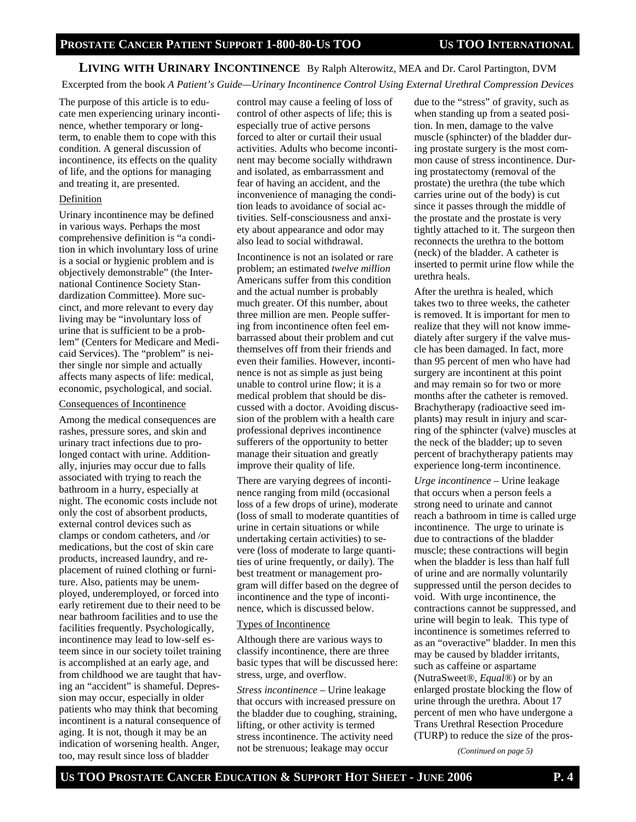# **LIVING WITH URINARY INCONTINENCE** By Ralph Alterowitz, MEA and Dr. Carol Partington, DVM

Excerpted from the book *A Patient's Guide—Urinary Incontinence Control Using External Urethral Compression Devices*

The purpose of this article is to educate men experiencing urinary incontinence, whether temporary or longterm, to enable them to cope with this condition. A general discussion of incontinence, its effects on the quality of life, and the options for managing and treating it, are presented.

#### Definition

Urinary incontinence may be defined in various ways. Perhaps the most comprehensive definition is "a condition in which involuntary loss of urine is a social or hygienic problem and is objectively demonstrable" (the International Continence Society Standardization Committee). More succinct, and more relevant to every day living may be "involuntary loss of urine that is sufficient to be a problem" (Centers for Medicare and Medicaid Services). The "problem" is neither single nor simple and actually affects many aspects of life: medical, economic, psychological, and social.

#### Consequences of Incontinence

Among the medical consequences are rashes, pressure sores, and skin and urinary tract infections due to prolonged contact with urine. Additionally, injuries may occur due to falls associated with trying to reach the bathroom in a hurry, especially at night. The economic costs include not only the cost of absorbent products, external control devices such as clamps or condom catheters, and /or medications, but the cost of skin care products, increased laundry, and replacement of ruined clothing or furniture. Also, patients may be unemployed, underemployed, or forced into early retirement due to their need to be near bathroom facilities and to use the facilities frequently. Psychologically, incontinence may lead to low-self esteem since in our society toilet training is accomplished at an early age, and from childhood we are taught that having an "accident" is shameful. Depression may occur, especially in older patients who may think that becoming incontinent is a natural consequence of aging. It is not, though it may be an indication of worsening health. Anger, too, may result since loss of bladder

control may cause a feeling of loss of control of other aspects of life; this is especially true of active persons forced to alter or curtail their usual activities. Adults who become incontinent may become socially withdrawn and isolated, as embarrassment and fear of having an accident, and the inconvenience of managing the condition leads to avoidance of social activities. Self-consciousness and anxiety about appearance and odor may also lead to social withdrawal.

Incontinence is not an isolated or rare problem; an estimated *twelve million* Americans suffer from this condition and the actual number is probably much greater. Of this number, about three million are men. People suffering from incontinence often feel embarrassed about their problem and cut themselves off from their friends and even their families. However, incontinence is not as simple as just being unable to control urine flow; it is a medical problem that should be discussed with a doctor. Avoiding discussion of the problem with a health care professional deprives incontinence sufferers of the opportunity to better manage their situation and greatly improve their quality of life.

There are varying degrees of incontinence ranging from mild (occasional loss of a few drops of urine), moderate (loss of small to moderate quantities of urine in certain situations or while undertaking certain activities) to severe (loss of moderate to large quantities of urine frequently, or daily). The best treatment or management program will differ based on the degree of incontinence and the type of incontinence, which is discussed below.

#### Types of Incontinence

Although there are various ways to classify incontinence, there are three basic types that will be discussed here: stress, urge, and overflow.

*Stress incontinence –* Urine leakage that occurs with increased pressure on the bladder due to coughing, straining, lifting, or other activity is termed stress incontinence. The activity need not be strenuous; leakage may occur

due to the "stress" of gravity, such as when standing up from a seated position. In men, damage to the valve muscle (sphincter) of the bladder during prostate surgery is the most common cause of stress incontinence. During prostatectomy (removal of the prostate) the urethra (the tube which carries urine out of the body) is cut since it passes through the middle of the prostate and the prostate is very tightly attached to it. The surgeon then reconnects the urethra to the bottom (neck) of the bladder. A catheter is inserted to permit urine flow while the urethra heals.

After the urethra is healed, which takes two to three weeks, the catheter is removed. It is important for men to realize that they will not know immediately after surgery if the valve muscle has been damaged. In fact, more than 95 percent of men who have had surgery are incontinent at this point and may remain so for two or more months after the catheter is removed. Brachytherapy (radioactive seed implants) may result in injury and scarring of the sphincter (valve) muscles at the neck of the bladder; up to seven percent of brachytherapy patients may experience long-term incontinence.

*Urge incontinence –* Urine leakage that occurs when a person feels a strong need to urinate and cannot reach a bathroom in time is called urge incontinence. The urge to urinate is due to contractions of the bladder muscle; these contractions will begin when the bladder is less than half full of urine and are normally voluntarily suppressed until the person decides to void. With urge incontinence, the contractions cannot be suppressed, and urine will begin to leak. This type of incontinence is sometimes referred to as an "overactive" bladder. In men this may be caused by bladder irritants, such as caffeine or aspartame (NutraSweet*®*, *Equal®*) or by an enlarged prostate blocking the flow of urine through the urethra. About 17 percent of men who have undergone a Trans Urethral Resection Procedure (TURP) to reduce the size of the pros-

*(Continued on page 5)*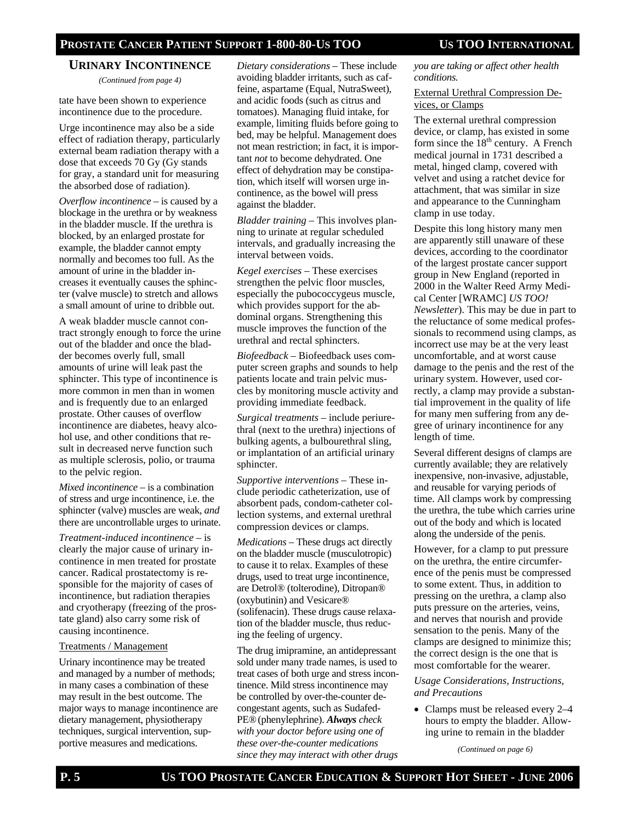#### **URINARY INCONTINENCE**

*(Continued from page 4)* 

tate have been shown to experience incontinence due to the procedure.

Urge incontinence may also be a side effect of radiation therapy, particularly external beam radiation therapy with a dose that exceeds 70 Gy (Gy stands for gray, a standard unit for measuring the absorbed dose of radiation).

*Overflow incontinence –* is caused by a blockage in the urethra or by weakness in the bladder muscle. If the urethra is blocked, by an enlarged prostate for example, the bladder cannot empty normally and becomes too full. As the amount of urine in the bladder increases it eventually causes the sphincter (valve muscle) to stretch and allows a small amount of urine to dribble out.

A weak bladder muscle cannot contract strongly enough to force the urine out of the bladder and once the bladder becomes overly full, small amounts of urine will leak past the sphincter. This type of incontinence is more common in men than in women and is frequently due to an enlarged prostate. Other causes of overflow incontinence are diabetes, heavy alcohol use, and other conditions that result in decreased nerve function such as multiple sclerosis, polio, or trauma to the pelvic region.

*Mixed incontinence* – is a combination of stress and urge incontinence, i.e. the sphincter (valve) muscles are weak, *and* there are uncontrollable urges to urinate.

*Treatment-induced incontinence* – is clearly the major cause of urinary incontinence in men treated for prostate cancer. Radical prostatectomy is responsible for the majority of cases of incontinence, but radiation therapies and cryotherapy (freezing of the prostate gland) also carry some risk of causing incontinence.

#### Treatments / Management

Urinary incontinence may be treated and managed by a number of methods; in many cases a combination of these may result in the best outcome. The major ways to manage incontinence are dietary management, physiotherapy techniques, surgical intervention, supportive measures and medications.

*Dietary considerations* – These include avoiding bladder irritants, such as caffeine, aspartame (Equal, NutraSweet), and acidic foods (such as citrus and tomatoes). Managing fluid intake, for example, limiting fluids before going to bed, may be helpful. Management does not mean restriction; in fact, it is important *not* to become dehydrated. One effect of dehydration may be constipation, which itself will worsen urge incontinence, as the bowel will press against the bladder.

*Bladder training* – This involves planning to urinate at regular scheduled intervals, and gradually increasing the interval between voids.

*Kegel exercises* – These exercises strengthen the pelvic floor muscles, especially the pubococcygeus muscle, which provides support for the abdominal organs. Strengthening this muscle improves the function of the urethral and rectal sphincters.

*Biofeedback* – Biofeedback uses computer screen graphs and sounds to help patients locate and train pelvic muscles by monitoring muscle activity and providing immediate feedback.

*Surgical treatments* – include periurethral (next to the urethra) injections of bulking agents, a bulbourethral sling, or implantation of an artificial urinary sphincter.

*Supportive interventions* – These include periodic catheterization, use of absorbent pads, condom-catheter collection systems, and external urethral compression devices or clamps.

*Medications* – These drugs act directly on the bladder muscle (musculotropic) to cause it to relax. Examples of these drugs, used to treat urge incontinence, are Detrol® (tolterodine), Ditropan® (oxybutinin) and Vesicare® (solifenacin). These drugs cause relaxation of the bladder muscle, thus reducing the feeling of urgency.

The drug imipramine, an antidepressant sold under many trade names, is used to treat cases of both urge and stress incontinence. Mild stress incontinence may be controlled by over-the-counter decongestant agents, such as Sudafed-PE®(phenylephrine). *Always check with your doctor before using one of these over-the-counter medications since they may interact with other drugs* 

*you are taking or affect other health conditions.* 

#### External Urethral Compression Devices, or Clamps

The external urethral compression device, or clamp, has existed in some form since the  $18<sup>th</sup>$  century. A French medical journal in 1731 described a metal, hinged clamp, covered with velvet and using a ratchet device for attachment, that was similar in size and appearance to the Cunningham clamp in use today.

Despite this long history many men are apparently still unaware of these devices, according to the coordinator of the largest prostate cancer support group in New England (reported in 2000 in the Walter Reed Army Medical Center [WRAMC] *US TOO! Newsletter*). This may be due in part to the reluctance of some medical professionals to recommend using clamps, as incorrect use may be at the very least uncomfortable, and at worst cause damage to the penis and the rest of the urinary system. However, used correctly, a clamp may provide a substantial improvement in the quality of life for many men suffering from any degree of urinary incontinence for any length of time.

Several different designs of clamps are currently available; they are relatively inexpensive, non-invasive, adjustable, and reusable for varying periods of time. All clamps work by compressing the urethra, the tube which carries urine out of the body and which is located along the underside of the penis.

However, for a clamp to put pressure on the urethra, the entire circumference of the penis must be compressed to some extent. Thus, in addition to pressing on the urethra, a clamp also puts pressure on the arteries, veins, and nerves that nourish and provide sensation to the penis. Many of the clamps are designed to minimize this; the correct design is the one that is most comfortable for the wearer.

*Usage Considerations, Instructions, and Precautions*

• Clamps must be released every 2–4 hours to empty the bladder. Allowing urine to remain in the bladder

*(Continued on page 6)*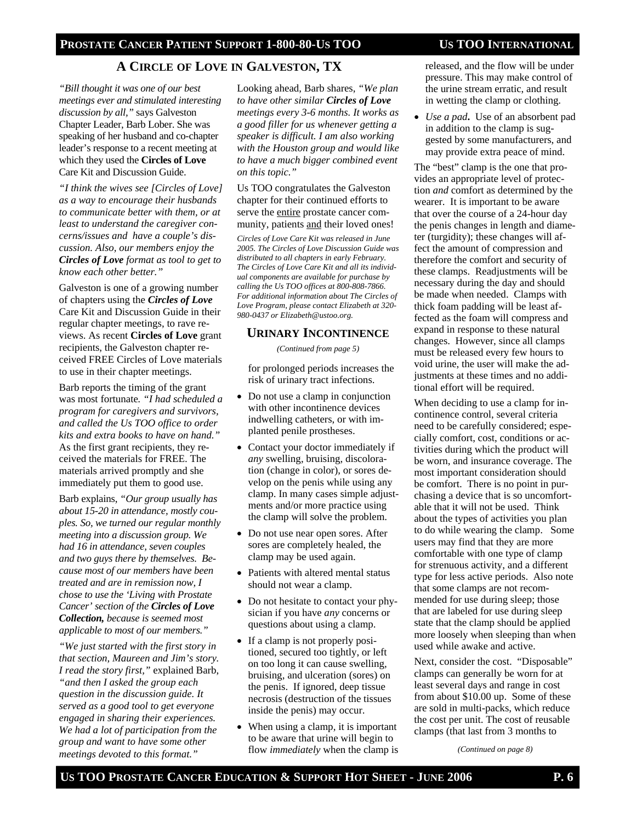### **PROSTATE CANCER PATIENT SUPPORT 1-800-80-US TOO US TOO INTERNATIONAL**

# A CIRCLE OF LOVE IN GALVESTON, TX released, and the flow will be under

*"Bill thought it was one of our best meetings ever and stimulated interesting discussion by all,"* says Galveston Chapter Leader, Barb Lober. She was speaking of her husband and co-chapter leader's response to a recent meeting at which they used the **Circles of Love**  Care Kit and Discussion Guide.

*"I think the wives see [Circles of Love] as a way to encourage their husbands to communicate better with them, or at least to understand the caregiver concerns/issues and have a couple's discussion. Also, our members enjoy the Circles of Love format as tool to get to know each other better."*

Galveston is one of a growing number of chapters using the *Circles of Love* Care Kit and Discussion Guide in their regular chapter meetings, to rave reviews. As recent **Circles of Love** grant recipients, the Galveston chapter received FREE Circles of Love materials to use in their chapter meetings.

Barb reports the timing of the grant was most fortunate*. "I had scheduled a program for caregivers and survivors, and called the Us TOO office to order kits and extra books to have on hand."* As the first grant recipients, they received the materials for FREE. The materials arrived promptly and she immediately put them to good use.

Barb explains, *"Our group usually has about 15-20 in attendance, mostly couples. So, we turned our regular monthly meeting into a discussion group. We had 16 in attendance, seven couples and two guys there by themselves. Because most of our members have been treated and are in remission now, I chose to use the 'Living with Prostate Cancer' section of the Circles of Love Collection, because is seemed most applicable to most of our members."* 

*"We just started with the first story in that section, Maureen and Jim's story. I read the story first,"* explained Barb, *"and then I asked the group each question in the discussion guide. It served as a good tool to get everyone engaged in sharing their experiences. We had a lot of participation from the group and want to have some other meetings devoted to this format."* 

Looking ahead, Barb shares, *"We plan to have other similar Circles of Love meetings every 3-6 months. It works as a good filler for us whenever getting a speaker is difficult. I am also working with the Houston group and would like to have a much bigger combined event on this topic."* 

Us TOO congratulates the Galveston chapter for their continued efforts to serve the entire prostate cancer community, patients and their loved ones!

*Circles of Love Care Kit was released in June 2005. The Circles of Love Discussion Guide was distributed to all chapters in early February. The Circles of Love Care Kit and all its individual components are available for purchase by calling the Us TOO offices at 800-808-7866. For additional information about The Circles of Love Program, please contact Elizabeth at 320- 980-0437 or Elizabeth@ustoo.org.*

## **URINARY INCONTINENCE**

*(Continued from page 5)* 

for prolonged periods increases the risk of urinary tract infections.

- Do not use a clamp in conjunction with other incontinence devices indwelling catheters, or with implanted penile prostheses.
- Contact your doctor immediately if *any* swelling, bruising, discoloration (change in color), or sores develop on the penis while using any clamp. In many cases simple adjustments and/or more practice using the clamp will solve the problem.
- Do not use near open sores. After sores are completely healed, the clamp may be used again.
- Patients with altered mental status should not wear a clamp.
- Do not hesitate to contact your physician if you have *any* concerns or questions about using a clamp.
- If a clamp is not properly positioned, secured too tightly, or left on too long it can cause swelling, bruising, and ulceration (sores) on the penis. If ignored, deep tissue necrosis (destruction of the tissues inside the penis) may occur.
- When using a clamp, it is important to be aware that urine will begin to flow *immediately* when the clamp is

pressure. This may make control of the urine stream erratic, and result in wetting the clamp or clothing.

• *Use a pad***.** Use of an absorbent pad in addition to the clamp is suggested by some manufacturers, and may provide extra peace of mind.

The "best" clamp is the one that provides an appropriate level of protection *and* comfort as determined by the wearer. It is important to be aware that over the course of a 24-hour day the penis changes in length and diameter (turgidity); these changes will affect the amount of compression and therefore the comfort and security of these clamps. Readjustments will be necessary during the day and should be made when needed. Clamps with thick foam padding will be least affected as the foam will compress and expand in response to these natural changes. However, since all clamps must be released every few hours to void urine, the user will make the adjustments at these times and no additional effort will be required.

When deciding to use a clamp for incontinence control, several criteria need to be carefully considered; especially comfort, cost, conditions or activities during which the product will be worn, and insurance coverage. The most important consideration should be comfort. There is no point in purchasing a device that is so uncomfortable that it will not be used. Think about the types of activities you plan to do while wearing the clamp. Some users may find that they are more comfortable with one type of clamp for strenuous activity, and a different type for less active periods. Also note that some clamps are not recommended for use during sleep; those that are labeled for use during sleep state that the clamp should be applied more loosely when sleeping than when used while awake and active.

Next, consider the cost. "Disposable" clamps can generally be worn for at least several days and range in cost from about \$10.00 up. Some of these are sold in multi-packs, which reduce the cost per unit. The cost of reusable clamps (that last from 3 months to

*(Continued on page 8)*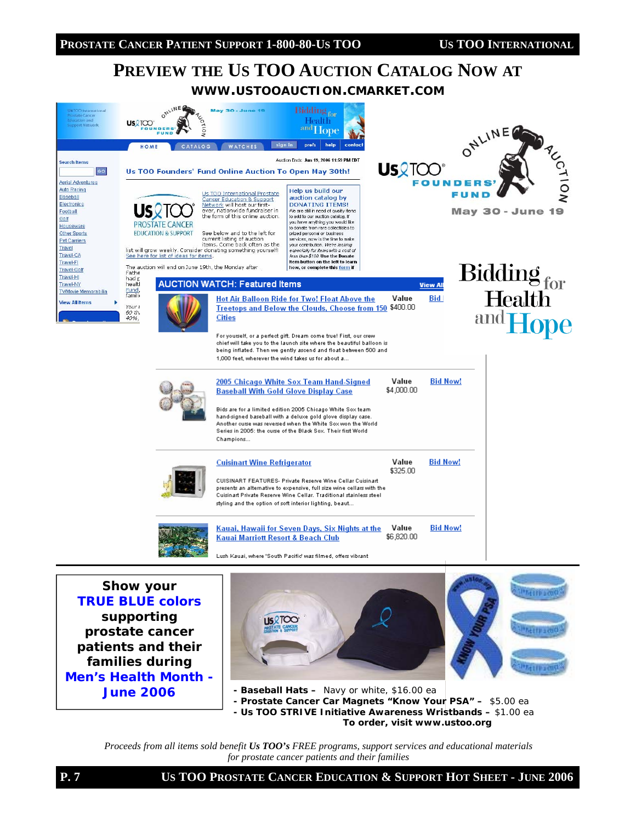# **PREVIEW THE US TOO AUCTION CATALOG NOW AT WWW.USTOOAUCTION.CMARKET.COM**



*TRUE BLUE colors supporting prostate cancer patients and their families during Men's Health Month - June 2006* 





- **Baseball Hats** Navy or white, \$16.00 ea
- **Prostate Cancer Car Magnets "Know Your PSA"** \$5.00 ea
- **Us TOO** *STRIVE* **Initiative Awareness Wristbands** \$1.00 ea

*To order, visit www.ustoo.org* 

*Proceeds from all items sold benefit Us TOO's FREE programs, support services and educational materials for prostate cancer patients and their families*